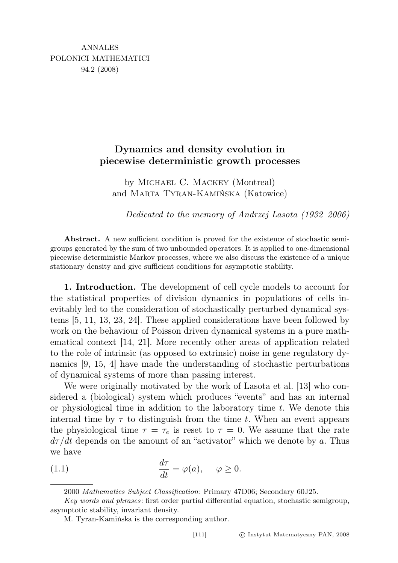## Dynamics and density evolution in piecewise deterministic growth processes

by Michael C. Mackey (Montreal) and Marta Tyran-Kamińska (Katowice)

Dedicated to the memory of Andrzej Lasota (1932–2006)

Abstract. A new sufficient condition is proved for the existence of stochastic semigroups generated by the sum of two unbounded operators. It is applied to one-dimensional piecewise deterministic Markov processes, where we also discuss the existence of a unique stationary density and give sufficient conditions for asymptotic stability.

1. Introduction. The development of cell cycle models to account for the statistical properties of division dynamics in populations of cells inevitably led to the consideration of stochastically perturbed dynamical systems [5, 11, 13, 23, 24]. These applied considerations have been followed by work on the behaviour of Poisson driven dynamical systems in a pure mathematical context [14, 21]. More recently other areas of application related to the role of intrinsic (as opposed to extrinsic) noise in gene regulatory dynamics [9, 15, 4] have made the understanding of stochastic perturbations of dynamical systems of more than passing interest.

We were originally motivated by the work of Lasota et al. [13] who considered a (biological) system which produces "events" and has an internal or physiological time in addition to the laboratory time  $t$ . We denote this internal time by  $\tau$  to distinguish from the time t. When an event appears the physiological time  $\tau = \tau_e$  is reset to  $\tau = 0$ . We assume that the rate  $d\tau/dt$  depends on the amount of an "activator" which we denote by a. Thus we have

(1.1) 
$$
\frac{d\tau}{dt} = \varphi(a), \quad \varphi \ge 0.
$$

<sup>2000</sup> Mathematics Subject Classification: Primary 47D06; Secondary 60J25.

Key words and phrases: first order partial differential equation, stochastic semigroup, asymptotic stability, invariant density.

M. Tyran-Kamińska is the corresponding author.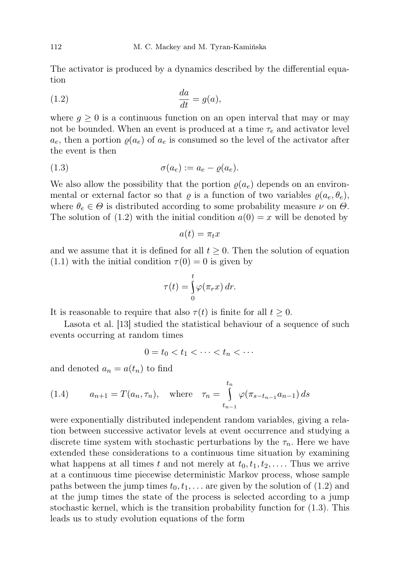The activator is produced by a dynamics described by the differential equation

$$
\frac{da}{dt} = g(a),
$$

where  $g \geq 0$  is a continuous function on an open interval that may or may not be bounded. When an event is produced at a time  $\tau_e$  and activator level  $a_e$ , then a portion  $\varrho(a_e)$  of  $a_e$  is consumed so the level of the activator after the event is then

$$
(1.3) \qquad \sigma(a_e) := a_e - \varrho(a_e).
$$

We also allow the possibility that the portion  $\rho(a_e)$  depends on an environmental or external factor so that  $\varrho$  is a function of two variables  $\varrho(a_e, \theta_e)$ , where  $\theta_e \in \Theta$  is distributed according to some probability measure  $\nu$  on  $\Theta$ . The solution of (1.2) with the initial condition  $a(0) = x$  will be denoted by

$$
a(t)=\pi_t x
$$

and we assume that it is defined for all  $t \geq 0$ . Then the solution of equation  $(1.1)$  with the initial condition  $\tau(0) = 0$  is given by

$$
\tau(t) = \int_{0}^{t} \varphi(\pi_r x) dr.
$$

It is reasonable to require that also  $\tau(t)$  is finite for all  $t \geq 0$ .

Lasota et al. [13] studied the statistical behaviour of a sequence of such events occurring at random times

$$
0 = t_0 < t_1 < \cdots < t_n < \cdots
$$

and denoted  $a_n = a(t_n)$  to find

(1.4) 
$$
a_{n+1} = T(a_n, \tau_n), \text{ where } \tau_n = \int_{t_{n-1}}^{t_n} \varphi(\pi_{s-t_{n-1}}a_{n-1}) ds
$$

were exponentially distributed independent random variables, giving a relation between successive activator levels at event occurrence and studying a discrete time system with stochastic perturbations by the  $\tau_n$ . Here we have extended these considerations to a continuous time situation by examining what happens at all times t and not merely at  $t_0, t_1, t_2, \ldots$ . Thus we arrive at a continuous time piecewise deterministic Markov process, whose sample paths between the jump times  $t_0, t_1, \ldots$  are given by the solution of (1.2) and at the jump times the state of the process is selected according to a jump stochastic kernel, which is the transition probability function for (1.3). This leads us to study evolution equations of the form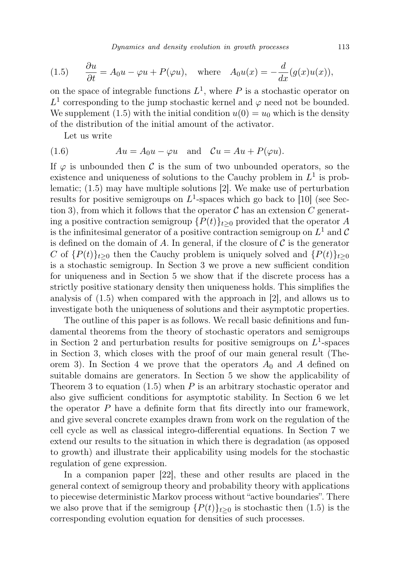(1.5) 
$$
\frac{\partial u}{\partial t} = A_0 u - \varphi u + P(\varphi u), \text{ where } A_0 u(x) = -\frac{d}{dx}(g(x)u(x)),
$$

on the space of integrable functions  $L^1$ , where P is a stochastic operator on  $L^1$  corresponding to the jump stochastic kernel and  $\varphi$  need not be bounded. We supplement (1.5) with the initial condition  $u(0) = u_0$  which is the density of the distribution of the initial amount of the activator.

Let us write

(1.6) 
$$
Au = A_0 u - \varphi u \text{ and } Cu = Au + P(\varphi u).
$$

If  $\varphi$  is unbounded then C is the sum of two unbounded operators, so the existence and uniqueness of solutions to the Cauchy problem in  $L^1$  is problematic; (1.5) may have multiple solutions [2]. We make use of perturbation results for positive semigroups on  $L^1$ -spaces which go back to [10] (see Section 3), from which it follows that the operator  $\mathcal C$  has an extension C generating a positive contraction semigroup  $\{P(t)\}_{t\geq0}$  provided that the operator A is the infinitesimal generator of a positive contraction semigroup on  $L^1$  and  $\mathcal C$ is defined on the domain of A. In general, if the closure of  $\mathcal C$  is the generator C of  $\{P(t)\}_{t\geq0}$  then the Cauchy problem is uniquely solved and  $\{P(t)\}_{t\geq0}$ is a stochastic semigroup. In Section 3 we prove a new sufficient condition for uniqueness and in Section 5 we show that if the discrete process has a strictly positive stationary density then uniqueness holds. This simplifies the analysis of (1.5) when compared with the approach in [2], and allows us to investigate both the uniqueness of solutions and their asymptotic properties.

The outline of this paper is as follows. We recall basic definitions and fundamental theorems from the theory of stochastic operators and semigroups in Section 2 and perturbation results for positive semigroups on  $L^1$ -spaces in Section 3, which closes with the proof of our main general result (Theorem 3). In Section 4 we prove that the operators  $A_0$  and A defined on suitable domains are generators. In Section 5 we show the applicability of Theorem 3 to equation  $(1.5)$  when P is an arbitrary stochastic operator and also give sufficient conditions for asymptotic stability. In Section 6 we let the operator  $P$  have a definite form that fits directly into our framework, and give several concrete examples drawn from work on the regulation of the cell cycle as well as classical integro-differential equations. In Section 7 we extend our results to the situation in which there is degradation (as opposed to growth) and illustrate their applicability using models for the stochastic regulation of gene expression.

In a companion paper [22], these and other results are placed in the general context of semigroup theory and probability theory with applications to piecewise deterministic Markov process without "active boundaries". There we also prove that if the semigroup  $\{P(t)\}_{t\geq 0}$  is stochastic then (1.5) is the corresponding evolution equation for densities of such processes.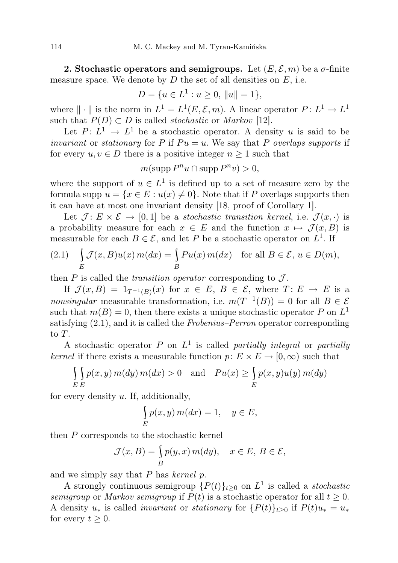2. Stochastic operators and semigroups. Let  $(E, \mathcal{E}, m)$  be a  $\sigma$ -finite measure space. We denote by  $D$  the set of all densities on  $E$ , i.e.

$$
D = \{ u \in L^1 : u \ge 0, ||u|| = 1 \},\
$$

where  $\|\cdot\|$  is the norm in  $L^1 = L^1(E, \mathcal{E}, m)$ . A linear operator  $P: L^1 \to L^1$ such that  $P(D) \subset D$  is called *stochastic* or *Markov* [12].

Let  $P: L^1 \to L^1$  be a stochastic operator. A density u is said to be invariant or stationary for P if  $Pu = u$ . We say that P overlaps supports if for every  $u, v \in D$  there is a positive integer  $n \geq 1$  such that

$$
m(\operatorname{supp} P^n u \cap \operatorname{supp} P^n v) > 0,
$$

where the support of  $u \in L^1$  is defined up to a set of measure zero by the formula supp  $u = \{x \in E : u(x) \neq 0\}$ . Note that if P overlaps supports then it can have at most one invariant density [18, proof of Corollary 1].

Let  $\mathcal{J} \colon E \times \mathcal{E} \to [0, 1]$  be a stochastic transition kernel, i.e.  $\mathcal{J}(x, \cdot)$  is a probability measure for each  $x \in E$  and the function  $x \mapsto \mathcal{J}(x, B)$  is measurable for each  $B \in \mathcal{E}$ , and let P be a stochastic operator on  $L^1$ . If

(2.1) 
$$
\int_{E} \mathcal{J}(x, B)u(x) m(dx) = \int_{B} Pu(x) m(dx) \text{ for all } B \in \mathcal{E}, u \in D(m),
$$

then  $P$  is called the *transition operator* corresponding to  $\mathcal{J}$ .

If  $\mathcal{J}(x,B) = 1_{T^{-1}(B)}(x)$  for  $x \in E, B \in \mathcal{E}$ , where  $T: E \to E$  is a *nonsingular* measurable transformation, i.e.  $m(T^{-1}(B)) = 0$  for all  $B \in \mathcal{E}$ such that  $m(B) = 0$ , then there exists a unique stochastic operator P on  $L<sup>1</sup>$ satisfying  $(2.1)$ , and it is called the Frobenius–Perron operator corresponding to T.

A stochastic operator P on  $L^1$  is called partially integral or partially kernel if there exists a measurable function  $p: E \times E \to [0, \infty)$  such that

$$
\int_{E} \int_{E} p(x, y) m(dy) m(dx) > 0 \text{ and } Pu(x) \ge \int_{E} p(x, y) u(y) m(dy)
$$

for every density u. If, additionally,

$$
\int_{E} p(x, y) m(dx) = 1, \quad y \in E,
$$

then P corresponds to the stochastic kernel

$$
\mathcal{J}(x,B) = \int_B p(y,x) \, m(dy), \quad x \in E, \, B \in \mathcal{E},
$$

and we simply say that  $P$  has kernel  $p$ .

A strongly continuous semigroup  $\{P(t)\}_{t\geq 0}$  on  $L^1$  is called a *stochastic* semigroup or Markov semigroup if  $P(t)$  is a stochastic operator for all  $t \geq 0$ . A density  $u_*$  is called *invariant* or *stationary* for  $\{P(t)\}_{t>0}$  if  $P(t)u_* = u_*$ for every  $t \geq 0$ .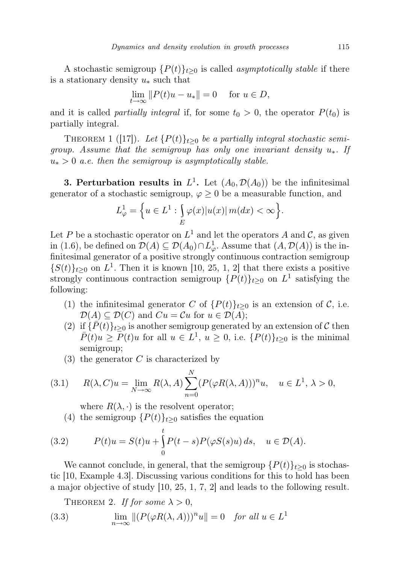A stochastic semigroup  $\{P(t)\}_{t\geq0}$  is called *asymptotically stable* if there is a stationary density  $u_*$  such that

$$
\lim_{t \to \infty} ||P(t)u - u_*|| = 0 \quad \text{for } u \in D,
$$

and it is called *partially integral* if, for some  $t_0 > 0$ , the operator  $P(t_0)$  is partially integral.

THEOREM 1 ([17]). Let  $\{P(t)\}_{t\geq 0}$  be a partially integral stochastic semigroup. Assume that the semigroup has only one invariant density  $u_*$ . If  $u_* > 0$  a.e. then the semigroup is asymptotically stable.

**3. Perturbation results in**  $L^1$ . Let  $(A_0, \mathcal{D}(A_0))$  be the infinitesimal generator of a stochastic semigroup,  $\varphi \geq 0$  be a measurable function, and

$$
L^1_{\varphi} = \left\{ u \in L^1 : \int_{E} \varphi(x) |u(x)| \, m(dx) < \infty \right\}.
$$

Let P be a stochastic operator on  $L^1$  and let the operators A and C, as given in (1.6), be defined on  $\mathcal{D}(A) \subseteq \mathcal{D}(A_0) \cap L^1_{\varphi}$ . Assume that  $(A, \mathcal{D}(A))$  is the infinitesimal generator of a positive strongly continuous contraction semigroup  $\{S(t)\}_{t\geq0}$  on  $L^1$ . Then it is known [10, 25, 1, 2] that there exists a positive strongly continuous contraction semigroup  $\{P(t)\}_{t\geq 0}$  on  $L^1$  satisfying the following:

- (1) the infinitesimal generator C of  $\{P(t)\}_{t>0}$  is an extension of C, i.e.  $\mathcal{D}(A) \subseteq \mathcal{D}(C)$  and  $Cu = Cu$  for  $u \in \mathcal{D}(A)$ ;
- (2) if  $\{\bar{P}(t)\}_{t\geq0}$  is another semigroup generated by an extension of C then  $\overline{P}(t)u \geq \overline{P}(t)u$  for all  $u \in L^1$ ,  $u \geq 0$ , i.e.  $\{P(t)\}_{t \geq 0}$  is the minimal semigroup;
- $(3)$  the generator C is characterized by

(3.1) 
$$
R(\lambda, C)u = \lim_{N \to \infty} R(\lambda, A) \sum_{n=0}^{N} (P(\varphi R(\lambda, A)))^{n} u, \quad u \in L^{1}, \lambda > 0,
$$

where  $R(\lambda, \cdot)$  is the resolvent operator;

(4) the semigroup  $\{P(t)\}_{t\geq 0}$  satisfies the equation

(3.2) 
$$
P(t)u = S(t)u + \int_{0}^{t} P(t-s)P(\varphi S(s)u) ds, \quad u \in \mathcal{D}(A).
$$

We cannot conclude, in general, that the semigroup  $\{P(t)\}_{t\geq 0}$  is stochastic [10, Example 4.3]. Discussing various conditions for this to hold has been a major objective of study [10, 25, 1, 7, 2] and leads to the following result.

THEOREM 2. If for some  $\lambda > 0$ , (3.3)  $\lim_{n \to \infty} || (P(\varphi R(\lambda, A)))^n u || = 0$  for all  $u \in L^1$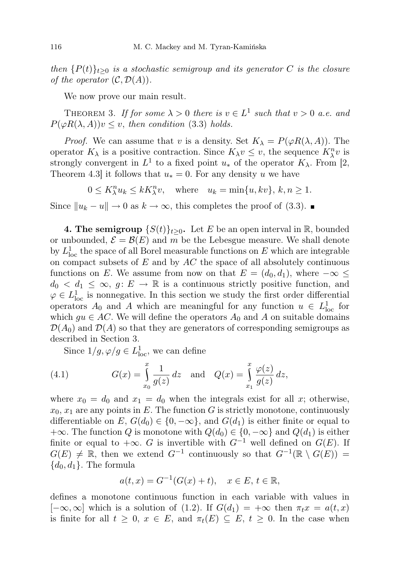then  ${P(t)}_{t>0}$  is a stochastic semigroup and its generator C is the closure of the operator  $(C, \mathcal{D}(A))$ .

We now prove our main result.

THEOREM 3. If for some  $\lambda > 0$  there is  $v \in L^1$  such that  $v > 0$  a.e. and  $P(\varphi R(\lambda, A))v \leq v$ , then condition (3.3) holds.

*Proof.* We can assume that v is a density. Set  $K_{\lambda} = P(\varphi R(\lambda, A))$ . The operator  $K_{\lambda}$  is a positive contraction. Since  $K_{\lambda}v \leq v$ , the sequence  $K_{\lambda}^nv$  is strongly convergent in  $L^1$  to a fixed point  $u_*$  of the operator  $K_\lambda$ . From [2, Theorem 4.3] it follows that  $u_* = 0$ . For any density u we have

 $0 \leq K_{\lambda}^{n} u_k \leq k K_{\lambda}^{n} v$ , where  $u_k = \min\{u, kv\}, k, n \geq 1$ .

Since  $||u_k - u|| \to 0$  as  $k \to \infty$ , this completes the proof of (3.3). ■

**4. The semigroup**  $\{S(t)\}_t>0$ . Let E be an open interval in R, bounded or unbounded,  $\mathcal{E} = \mathcal{B}(E)$  and m be the Lebesgue measure. We shall denote by  $L^1_{\text{loc}}$  the space of all Borel measurable functions on E which are integrable on compact subsets of  $E$  and by  $AC$  the space of all absolutely continuous functions on E. We assume from now on that  $E = (d_0, d_1)$ , where  $-\infty \leq$  $d_0 < d_1 \leq \infty$ ,  $g: E \to \mathbb{R}$  is a continuous strictly positive function, and  $\varphi \in L^1_{loc}$  is nonnegative. In this section we study the first order differential operators  $A_0$  and A which are meaningful for any function  $u \in L^1_{loc}$  for which  $gu \in AC$ . We will define the operators  $A_0$  and A on suitable domains  $\mathcal{D}(A_0)$  and  $\mathcal{D}(A)$  so that they are generators of corresponding semigroups as described in Section 3.

Since  $1/g, \varphi/g \in L^1_{loc}$ , we can define

(4.1) 
$$
G(x) = \int_{x_0}^{x} \frac{1}{g(z)} dz \text{ and } Q(x) = \int_{x_1}^{x} \frac{\varphi(z)}{g(z)} dz,
$$

where  $x_0 = d_0$  and  $x_1 = d_0$  when the integrals exist for all x; otherwise,  $x_0, x_1$  are any points in E. The function G is strictly monotone, continuously differentiable on E,  $G(d_0) \in \{0, -\infty\}$ , and  $G(d_1)$  is either finite or equal to  $+\infty$ . The function Q is monotone with  $Q(d_0) \in \{0, -\infty\}$  and  $Q(d_1)$  is either finite or equal to  $+\infty$ . G is invertible with  $G^{-1}$  well defined on  $G(E)$ . If  $G(E) \neq \mathbb{R}$ , then we extend  $G^{-1}$  continuously so that  $G^{-1}(\mathbb{R} \setminus G(E))$  ${d_0, d_1}$ . The formula

$$
a(t, x) = G^{-1}(G(x) + t), \quad x \in E, t \in \mathbb{R},
$$

defines a monotone continuous function in each variable with values in  $[-\infty, \infty]$  which is a solution of (1.2). If  $G(d_1) = +\infty$  then  $\pi_t x = a(t, x)$ is finite for all  $t \geq 0$ ,  $x \in E$ , and  $\pi_t(E) \subseteq E$ ,  $t \geq 0$ . In the case when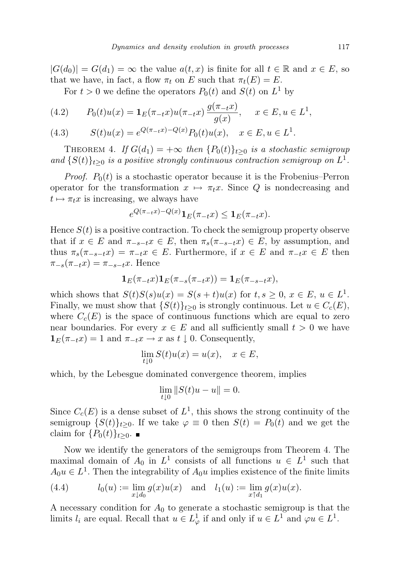$|G(d_0)| = G(d_1) = \infty$  the value  $a(t, x)$  is finite for all  $t \in \mathbb{R}$  and  $x \in E$ , so that we have, in fact, a flow  $\pi_t$  on E such that  $\pi_t(E) = E$ .

For  $t > 0$  we define the operators  $P_0(t)$  and  $S(t)$  on  $L^1$  by

(4.2) 
$$
P_0(t)u(x) = \mathbf{1}_E(\pi_{-t}x)u(\pi_{-t}x)\frac{g(\pi_{-t}x)}{g(x)}, \quad x \in E, u \in L^1,
$$

(4.3) 
$$
S(t)u(x) = e^{Q(\pi_{-t}x) - Q(x)}P_0(t)u(x), \quad x \in E, u \in L^1.
$$

THEOREM 4. If  $G(d_1) = +\infty$  then  $\{P_0(t)\}_{t>0}$  is a stochastic semigroup and  $\{S(t)\}_{t\geq 0}$  is a positive strongly continuous contraction semigroup on  $L^1$ .

*Proof.*  $P_0(t)$  is a stochastic operator because it is the Frobenius–Perron operator for the transformation  $x \mapsto \pi_t x$ . Since Q is nondecreasing and  $t \mapsto \pi_t x$  is increasing, we always have

$$
e^{Q(\pi_{-t}x)-Q(x)}\mathbf{1}_E(\pi_{-t}x)\leq \mathbf{1}_E(\pi_{-t}x).
$$

Hence  $S(t)$  is a positive contraction. To check the semigroup property observe that if  $x \in E$  and  $\pi_{-s-t}$ ,  $x \in E$ , then  $\pi_s$ ( $\pi_{-s-t}$ )  $\in E$ , by assumption, and thus  $\pi_s(\pi_{-s-t}x) = \pi_{-t}x \in E$ . Furthermore, if  $x \in E$  and  $\pi_{-t}x \in E$  then  $\pi_{-s}(\pi_{-t}x) = \pi_{-s-t}x$ . Hence

$$
\mathbf{1}_E(\pi_{-t}x)\mathbf{1}_E(\pi_{-s}(\pi_{-t}x))=\mathbf{1}_E(\pi_{-s-t}x),
$$

which shows that  $S(t)S(s)u(x) = S(s+t)u(x)$  for  $t, s \geq 0, x \in E, u \in L<sup>1</sup>$ . Finally, we must show that  $\{S(t)\}_{t>0}$  is strongly continuous. Let  $u \in C_c(E)$ , where  $C_c(E)$  is the space of continuous functions which are equal to zero near boundaries. For every  $x \in E$  and all sufficiently small  $t > 0$  we have  $\mathbf{1}_{E}(\pi_{-t}x)=1$  and  $\pi_{-t}x\to x$  as  $t\downarrow 0$ . Consequently,

$$
\lim_{t \downarrow 0} S(t)u(x) = u(x), \quad x \in E,
$$

which, by the Lebesgue dominated convergence theorem, implies

$$
\lim_{t \downarrow 0} \|S(t)u - u\| = 0.
$$

Since  $C_c(E)$  is a dense subset of  $L^1$ , this shows the strong continuity of the semigroup  $\{S(t)\}_{t>0}$ . If we take  $\varphi \equiv 0$  then  $S(t) = P_0(t)$  and we get the claim for  $\{P_0(t)\}_{t\geq 0}$ .

Now we identify the generators of the semigroups from Theorem 4. The maximal domain of  $A_0$  in  $L^1$  consists of all functions  $u \in L^1$  such that  $A_0u \in L<sup>1</sup>$ . Then the integrability of  $A_0u$  implies existence of the finite limits

(4.4) 
$$
l_0(u) := \lim_{x \downarrow d_0} g(x)u(x) \text{ and } l_1(u) := \lim_{x \uparrow d_1} g(x)u(x).
$$

A necessary condition for  $A_0$  to generate a stochastic semigroup is that the limits  $l_i$  are equal. Recall that  $u \in L^1_\varphi$  if and only if  $u \in L^1$  and  $\varphi u \in L^1$ .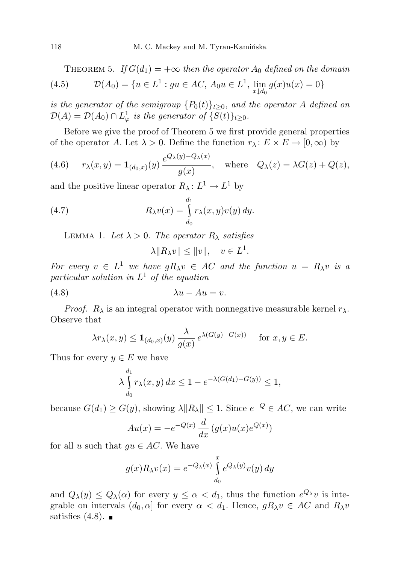THEOREM 5. If  $G(d_1) = +\infty$  then the operator  $A_0$  defined on the domain (4.5)  $\mathcal{D}(A_0) = \{u \in L^1 : gu \in AC, A_0u \in L^1, \lim_{x \downarrow d_0} g(x)u(x) = 0\}$ 

is the generator of the semigroup  $\{P_0(t)\}_{t>0}$ , and the operator A defined on  $\mathcal{D}(A) = \mathcal{D}(A_0) \cap L^1_{\varphi}$  is the generator of  $\{S(t)\}_{t \geq 0}$ .

Before we give the proof of Theorem 5 we first provide general properties of the operator A. Let  $\lambda > 0$ . Define the function  $r_{\lambda} : E \times E \to [0, \infty)$  by

(4.6) 
$$
r_{\lambda}(x, y) = \mathbf{1}_{(d_0, x)}(y) \frac{e^{Q_{\lambda}(y) - Q_{\lambda}(x)}}{g(x)}, \text{ where } Q_{\lambda}(z) = \lambda G(z) + Q(z),
$$

and the positive linear operator  $R_{\lambda} : L^1 \to L^1$  by

(4.7) 
$$
R_{\lambda}v(x) = \int_{d_0}^{d_1} r_{\lambda}(x, y)v(y) dy.
$$

LEMMA 1. Let  $\lambda > 0$ . The operator  $R_{\lambda}$  satisfies

$$
\lambda ||R_{\lambda}v|| \le ||v||, \quad v \in L^1.
$$

For every  $v \in L^1$  we have  $gR_\lambda v \in AC$  and the function  $u = R_\lambda v$  is a particular solution in  $L^1$  of the equation

(4.8) λu − Au = v.

*Proof.*  $R_{\lambda}$  is an integral operator with nonnegative measurable kernel  $r_{\lambda}$ . Observe that

$$
\lambda r_{\lambda}(x,y) \leq \mathbf{1}_{(d_0,x)}(y) \frac{\lambda}{g(x)} e^{\lambda(G(y)-G(x))} \quad \text{ for } x, y \in E.
$$

Thus for every  $y \in E$  we have

$$
\lambda \int_{d_0}^{d_1} r_\lambda(x, y) dx \le 1 - e^{-\lambda(G(d_1) - G(y))} \le 1,
$$

because  $G(d_1) \ge G(y)$ , showing  $\lambda || R_\lambda || \le 1$ . Since  $e^{-Q} \in AC$ , we can write

$$
Au(x) = -e^{-Q(x)} \frac{d}{dx} (g(x)u(x)e^{Q(x)})
$$

for all u such that  $gu \in AC$ . We have

$$
g(x)R_{\lambda}v(x) = e^{-Q_{\lambda}(x)} \int_{d_0}^{x} e^{Q_{\lambda}(y)} v(y) dy
$$

and  $Q_{\lambda}(y) \leq Q_{\lambda}(\alpha)$  for every  $y \leq \alpha < d_1$ , thus the function  $e^{Q_{\lambda}}v$  is integrable on intervals  $(d_0, \alpha]$  for every  $\alpha < d_1$ . Hence,  $gR_\lambda v \in AC$  and  $R_\lambda v$ satisfies  $(4.8)$ .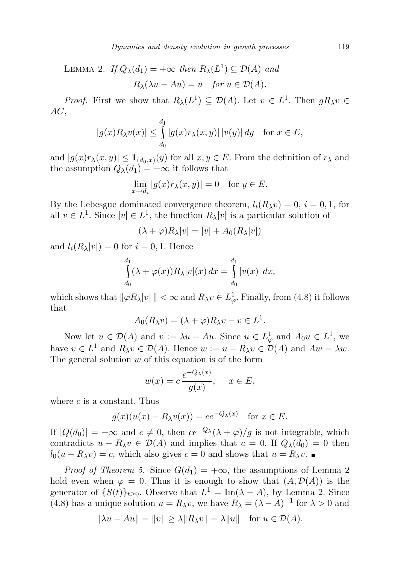LEMMA 2. If  $Q_{\lambda}(d_1) = +\infty$  then  $R_{\lambda}(L^1) \subseteq \mathcal{D}(A)$  and  $R_{\lambda}(\lambda u - Au) = u$  for  $u \in \mathcal{D}(A)$ .

*Proof.* First we show that  $R_{\lambda}(L^1) \subseteq \mathcal{D}(A)$ . Let  $v \in L^1$ . Then  $gR_{\lambda}v \in$ AC,

$$
|g(x)R_{\lambda}v(x)| \leq \int_{d_0}^{d_1} |g(x)r_{\lambda}(x,y)| \, |v(y)| \, dy \quad \text{for } x \in E,
$$

and  $|g(x)r_{\lambda}(x,y)| \leq \mathbf{1}_{(d_0,x)}(y)$  for all  $x, y \in E$ . From the definition of  $r_{\lambda}$  and the assumption  $Q_{\lambda}(d_1) = +\infty$  it follows that

$$
\lim_{x \to d_i} |g(x)r_\lambda(x,y)| = 0 \text{ for } y \in E.
$$

By the Lebesgue dominated convergence theorem,  $l_i(R_\lambda v) = 0$ ,  $i = 0, 1$ , for all  $v \in L^1$ . Since  $|v| \in L^1$ , the function  $R_\lambda |v|$  is a particular solution of

$$
(\lambda + \varphi)R_{\lambda}|v| = |v| + A_0(R_{\lambda}|v|)
$$

and  $l_i(R_\lambda|v|) = 0$  for  $i = 0, 1$ . Hence

$$
\int_{d_0}^{d_1} (\lambda + \varphi(x)) R_\lambda |v|(x) dx = \int_{d_0}^{d_1} |v(x)| dx,
$$

which shows that  $\|\varphi R_\lambda|v\| < \infty$  and  $R_\lambda v \in L^1_\varphi$ . Finally, from (4.8) it follows that

$$
A_0(R_\lambda v) = (\lambda + \varphi)R_\lambda v - v \in L^1.
$$

Now let  $u \in \mathcal{D}(A)$  and  $v := \lambda u - Au$ . Since  $u \in L^1_{\varphi}$  and  $A_0 u \in L^1$ , we have  $v \in L^1$  and  $R_\lambda v \in \mathcal{D}(A)$ . Hence  $w := u - R_\lambda v \in \mathcal{D}(A)$  and  $Aw = \lambda w$ . The general solution  $w$  of this equation is of the form

$$
w(x) = c \frac{e^{-Q_{\lambda}(x)}}{g(x)}, \quad x \in E,
$$

where  $c$  is a constant. Thus

$$
g(x)(u(x) - R_\lambda v(x)) = ce^{-Q_\lambda(x)} \text{ for } x \in E.
$$

If  $|Q(d_0)| = +\infty$  and  $c \neq 0$ , then  $ce^{-Q_{\lambda}}(\lambda + \varphi)/g$  is not integrable, which contradicts  $u - R_\lambda v \in \mathcal{D}(A)$  and implies that  $c = 0$ . If  $Q_\lambda(d_0) = 0$  then  $l_0(u - R_\lambda v) = c$ , which also gives  $c = 0$  and shows that  $u = R_\lambda v$ .

*Proof of Theorem 5.* Since  $G(d_1) = +\infty$ , the assumptions of Lemma 2 hold even when  $\varphi = 0$ . Thus it is enough to show that  $(A, \mathcal{D}(A))$  is the generator of  $\{S(t)\}_{t\geq 0}$ . Observe that  $L^1 = \text{Im}(\lambda - A)$ , by Lemma 2. Since (4.8) has a unique solution  $u = R_{\lambda}v$ , we have  $R_{\lambda} = (\lambda - A)^{-1}$  for  $\lambda > 0$  and

$$
\|\lambda u - Au\| = \|v\| \ge \lambda \|R_\lambda v\| = \lambda \|u\| \text{ for } u \in \mathcal{D}(A).
$$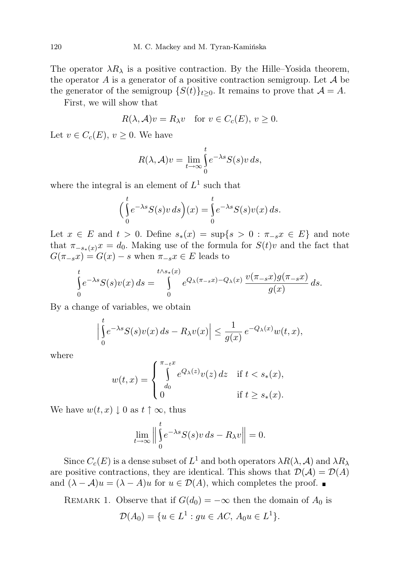The operator  $\lambda R_{\lambda}$  is a positive contraction. By the Hille–Yosida theorem, the operator A is a generator of a positive contraction semigroup. Let  $A$  be the generator of the semigroup  $\{S(t)\}_{t>0}$ . It remains to prove that  $\mathcal{A} = A$ .

First, we will show that

$$
R(\lambda, \mathcal{A})v = R_{\lambda}v \quad \text{for } v \in C_c(E), v \ge 0.
$$

Let  $v \in C_c(E)$ ,  $v \geq 0$ . We have

$$
R(\lambda, \mathcal{A})v = \lim_{t \to \infty} \int_{0}^{t} e^{-\lambda s} S(s)v \, ds,
$$

where the integral is an element of  $L^1$  such that

$$
\Big(\int_{0}^{t} e^{-\lambda s} S(s)v ds\Big)(x) = \int_{0}^{t} e^{-\lambda s} S(s)v(x) ds.
$$

Let  $x \in E$  and  $t > 0$ . Define  $s_*(x) = \sup\{s > 0 : \pi_{-s}x \in E\}$  and note that  $\pi_{-s_*(x)}x = d_0$ . Making use of the formula for  $S(t)v$  and the fact that  $G(\pi_{-s}x) = G(x) - s$  when  $\pi_{-s}x \in E$  leads to

$$
\int_{0}^{t} e^{-\lambda s} S(s) v(x) ds = \int_{0}^{t \wedge s_*(x)} e^{Q_{\lambda}(\pi_{-s}x) - Q_{\lambda}(x)} \frac{v(\pi_{-s}x)g(\pi_{-s}x)}{g(x)} ds.
$$

By a change of variables, we obtain

$$
\left|\int_{0}^{t} e^{-\lambda s} S(s)v(x) ds - R_{\lambda}v(x)\right| \leq \frac{1}{g(x)} e^{-Q_{\lambda}(x)} w(t, x),
$$

where

$$
w(t,x) = \begin{cases} \int_{d_0}^{\pi_{-t}x} e^{Q_{\lambda}(z)} v(z) dz & \text{if } t < s_*(x), \\ 0 & \text{if } t \ge s_*(x). \end{cases}
$$

We have  $w(t, x) \downarrow 0$  as  $t \uparrow \infty$ , thus

$$
\lim_{t \to \infty} \left\| \int_0^t e^{-\lambda s} S(s) v \, ds - R_\lambda v \right\| = 0.
$$

Since  $C_c(E)$  is a dense subset of  $L^1$  and both operators  $\lambda R(\lambda, \mathcal{A})$  and  $\lambda R_{\lambda}$ are positive contractions, they are identical. This shows that  $\mathcal{D}(\mathcal{A}) = \mathcal{D}(\mathcal{A})$ and  $(\lambda - A)u = (\lambda - A)u$  for  $u \in \mathcal{D}(A)$ , which completes the proof.  $\blacksquare$ 

REMARK 1. Observe that if  $G(d_0) = -\infty$  then the domain of  $A_0$  is

$$
\mathcal{D}(A_0) = \{ u \in L^1 : gu \in AC, A_0 u \in L^1 \}.
$$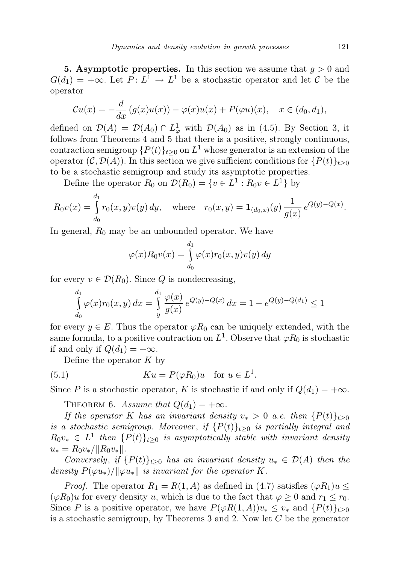**5.** Asymptotic properties. In this section we assume that  $q > 0$  and  $G(d_1) = +\infty$ . Let  $P: L^1 \to L^1$  be a stochastic operator and let C be the operator

$$
\mathcal{C}u(x) = -\frac{d}{dx}\left(g(x)u(x)\right) - \varphi(x)u(x) + P(\varphi u)(x), \quad x \in (d_0, d_1),
$$

defined on  $\mathcal{D}(A) = \mathcal{D}(A_0) \cap L^1_{\varphi}$  with  $\mathcal{D}(A_0)$  as in (4.5). By Section 3, it follows from Theorems 4 and 5 that there is a positive, strongly continuous, contraction semigroup  $\{P(t)\}_{t\geq 0}$  on  $L^1$  whose generator is an extension of the operator  $(C, \mathcal{D}(A))$ . In this section we give sufficient conditions for  $\{P(t)\}_{t\geq 0}$ to be a stochastic semigroup and study its asymptotic properties.

Define the operator  $R_0$  on  $\mathcal{D}(R_0) = \{v \in L^1 : R_0 v \in L^1\}$  by

$$
R_0v(x) = \int_{d_0}^{d_1} r_0(x, y)v(y) dy, \quad \text{where} \quad r_0(x, y) = \mathbf{1}_{(d_0, x)}(y) \frac{1}{g(x)} e^{Q(y) - Q(x)}.
$$

In general,  $R_0$  may be an unbounded operator. We have

$$
\varphi(x)R_0v(x) = \int_{d_0}^{d_1} \varphi(x)r_0(x,y)v(y) dy
$$

for every  $v \in \mathcal{D}(R_0)$ . Since Q is nondecreasing,

$$
\int_{d_0}^{d_1} \varphi(x) r_0(x, y) dx = \int_{y}^{d_1} \frac{\varphi(x)}{g(x)} e^{Q(y) - Q(x)} dx = 1 - e^{Q(y) - Q(d_1)} \le 1
$$

for every  $y \in E$ . Thus the operator  $\varphi R_0$  can be uniquely extended, with the same formula, to a positive contraction on  $L^1$ . Observe that  $\varphi R_0$  is stochastic if and only if  $Q(d_1) = +\infty$ .

Define the operator  $K$  by

(5.1) 
$$
Ku = P(\varphi R_0)u \text{ for } u \in L^1.
$$

Since P is a stochastic operator, K is stochastic if and only if  $Q(d_1) = +\infty$ .

THEOREM 6. Assume that  $Q(d_1) = +\infty$ .

If the operator K has an invariant density  $v_* > 0$  a.e. then  $\{P(t)\}_{t>0}$ is a stochastic semigroup. Moreover, if  $\{P(t)\}_{t\geq0}$  is partially integral and  $R_0v_* \in L^1$  then  $\{P(t)\}_{t\geq 0}$  is asymptotically stable with invariant density  $u_* = R_0 v_*/||R_0 v_*||.$ 

Conversely, if  $\{P(t)\}_{t>0}$  has an invariant density  $u_* \in \mathcal{D}(A)$  then the density  $P(\varphi u_*)/||\varphi u_*||$  is invariant for the operator K.

*Proof.* The operator  $R_1 = R(1, A)$  as defined in (4.7) satisfies  $(\varphi R_1)u \leq$  $(\varphi R_0)u$  for every density u, which is due to the fact that  $\varphi \geq 0$  and  $r_1 \leq r_0$ . Since P is a positive operator, we have  $P(\varphi R(1,A))v_* \leq v_*$  and  $\{P(t)\}_{t>0}$ is a stochastic semigroup, by Theorems 3 and 2. Now let  $C$  be the generator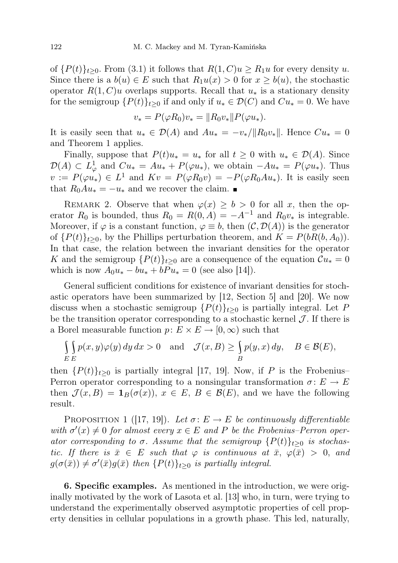of  ${P(t)}_{t>0}$ . From (3.1) it follows that  $R(1, C)u \ge R_1u$  for every density u. Since there is a  $b(u) \in E$  such that  $R_1u(x) > 0$  for  $x \ge b(u)$ , the stochastic operator  $R(1, C)u$  overlaps supports. Recall that  $u_*$  is a stationary density for the semigroup  $\{P(t)\}_{t\geq 0}$  if and only if  $u_* \in \mathcal{D}(C)$  and  $Cu_* = 0$ . We have

$$
v_* = P(\varphi R_0)v_* = ||R_0v_*||P(\varphi u_*).
$$

It is easily seen that  $u_* \in \mathcal{D}(A)$  and  $Au_* = -v_* / ||R_0v_*||$ . Hence  $Cu_* = 0$ and Theorem 1 applies.

Finally, suppose that  $P(t)u_* = u_*$  for all  $t \geq 0$  with  $u_* \in \mathcal{D}(A)$ . Since  $\mathcal{D}(A) \subset L^1_\varphi$  and  $Cu_* = Au_* + P(\varphi u_*)$ , we obtain  $-Au_* = P(\varphi u_*)$ . Thus  $v := P(\varphi u_*) \in L^1$  and  $Kv = P(\varphi R_0 v) = -P(\varphi R_0 A u_*)$ . It is easily seen that  $R_0Au_* = -u_*$  and we recover the claim.  $\blacksquare$ 

REMARK 2. Observe that when  $\varphi(x) \geq b > 0$  for all x, then the operator  $R_0$  is bounded, thus  $R_0 = R(0, A) = -A^{-1}$  and  $R_0v_*$  is integrable. Moreover, if  $\varphi$  is a constant function,  $\varphi \equiv b$ , then  $(C, \mathcal{D}(A))$  is the generator of  ${P(t)}_{t>0}$ , by the Phillips perturbation theorem, and  $K = P(bR(b, A_0)).$ In that case, the relation between the invariant densities for the operator K and the semigroup  $\{P(t)\}_{t>0}$  are a consequence of the equation  $\mathcal{C}u_* = 0$ which is now  $A_0 u_* - b u_* + b P u_* = 0$  (see also [14]).

General sufficient conditions for existence of invariant densities for stochastic operators have been summarized by [12, Section 5] and [20]. We now discuss when a stochastic semigroup  $\{P(t)\}_{t>0}$  is partially integral. Let P be the transition operator corresponding to a stochastic kernel  $\mathcal J$ . If there is a Borel measurable function  $p: E \times E \to [0, \infty)$  such that

$$
\iint\limits_{E} p(x, y)\varphi(y) dy dx > 0 \text{ and } \mathcal{J}(x, B) \ge \iint\limits_{B} p(y, x) dy, B \in \mathcal{B}(E),
$$

then  $\{P(t)\}_{t>0}$  is partially integral [17, 19]. Now, if P is the Frobenius– Perron operator corresponding to a nonsingular transformation  $\sigma: E \to E$ then  $\mathcal{J}(x, B) = \mathbf{1}_B(\sigma(x)), x \in E, B \in \mathcal{B}(E)$ , and we have the following result.

PROPOSITION 1 ([17, 19]). Let  $\sigma: E \to E$  be continuously differentiable with  $\sigma'(x) \neq 0$  for almost every  $x \in E$  and P be the Frobenius–Perron operator corresponding to  $\sigma$ . Assume that the semigroup  $\{P(t)\}_{t\geq0}$  is stochastic. If there is  $\bar{x} \in E$  such that  $\varphi$  is continuous at  $\bar{x}$ ,  $\varphi(\bar{x}) > 0$ , and  $g(\sigma(\bar{x})) \neq \sigma'(\bar{x})g(\bar{x})$  then  $\{P(t)\}_{t\geq 0}$  is partially integral.

6. Specific examples. As mentioned in the introduction, we were originally motivated by the work of Lasota et al. [13] who, in turn, were trying to understand the experimentally observed asymptotic properties of cell property densities in cellular populations in a growth phase. This led, naturally,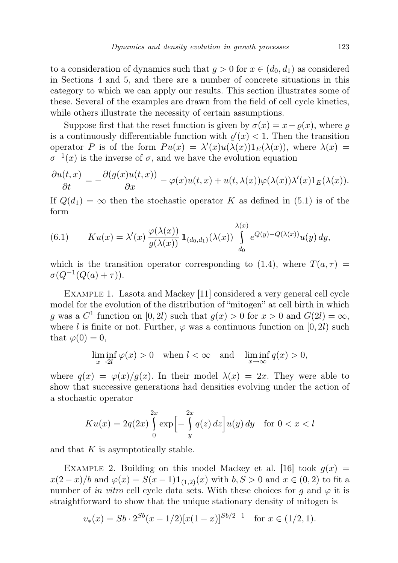to a consideration of dynamics such that  $g > 0$  for  $x \in (d_0, d_1)$  as considered in Sections 4 and 5, and there are a number of concrete situations in this category to which we can apply our results. This section illustrates some of these. Several of the examples are drawn from the field of cell cycle kinetics, while others illustrate the necessity of certain assumptions.

Suppose first that the reset function is given by  $\sigma(x) = x - \rho(x)$ , where  $\rho$ is a continuously differentiable function with  $\rho'(x) < 1$ . Then the transition operator P is of the form  $Pu(x) = \lambda'(x)u(\lambda(x))1_E(\lambda(x))$ , where  $\lambda(x)$  $\sigma^{-1}(x)$  is the inverse of  $\sigma$ , and we have the evolution equation

$$
\frac{\partial u(t,x)}{\partial t} = -\frac{\partial (g(x)u(t,x))}{\partial x} - \varphi(x)u(t,x) + u(t,\lambda(x))\varphi(\lambda(x))\lambda'(x)1_E(\lambda(x)).
$$

If  $Q(d_1) = \infty$  then the stochastic operator K as defined in (5.1) is of the form

(6.1) 
$$
Ku(x) = \lambda'(x) \frac{\varphi(\lambda(x))}{g(\lambda(x))} \mathbf{1}_{(d_0,d_1)}(\lambda(x)) \int_{d_0}^{\lambda(x)} e^{Q(y) - Q(\lambda(x))} u(y) dy,
$$

which is the transition operator corresponding to (1.4), where  $T(a, \tau)$  =  $\sigma(Q^{-1}(Q(a)+\tau)).$ 

Example 1. Lasota and Mackey [11] considered a very general cell cycle model for the evolution of the distribution of "mitogen" at cell birth in which g was a  $C^1$  function on  $[0, 2l)$  such that  $g(x) > 0$  for  $x > 0$  and  $G(2l) = \infty$ , where l is finite or not. Further,  $\varphi$  was a continuous function on [0, 2l) such that  $\varphi(0) = 0$ ,

$$
\liminf_{x \to 2l} \varphi(x) > 0 \quad \text{when } l < \infty \quad \text{and} \quad \liminf_{x \to \infty} q(x) > 0,
$$

where  $q(x) = \varphi(x)/g(x)$ . In their model  $\lambda(x) = 2x$ . They were able to show that successive generations had densities evolving under the action of a stochastic operator

$$
Ku(x) = 2q(2x)\int_{0}^{2x} \exp\left[-\int_{y}^{2x} q(z) dz\right] u(y) dy \quad \text{for } 0 < x < l
$$

and that  $K$  is asymptotically stable.

EXAMPLE 2. Building on this model Mackey et al. [16] took  $g(x) =$  $x(2-x)/b$  and  $\varphi(x) = S(x-1)\mathbf{1}_{(1,2)}(x)$  with  $b, S > 0$  and  $x \in (0,2)$  to fit a number of in vitro cell cycle data sets. With these choices for g and  $\varphi$  it is straightforward to show that the unique stationary density of mitogen is

$$
v_*(x) = Sb \cdot 2^{Sb}(x - 1/2)[x(1 - x)]^{Sb/2 - 1} \text{ for } x \in (1/2, 1).
$$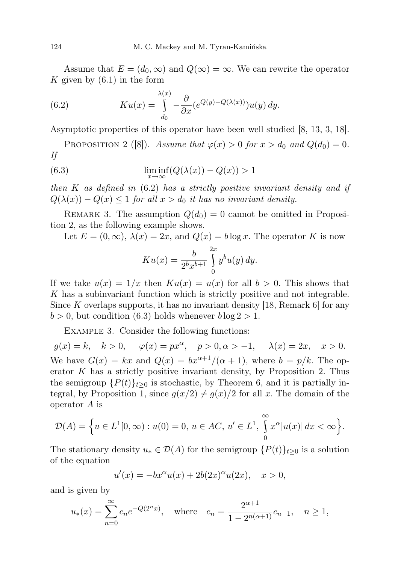Assume that  $E = (d_0, \infty)$  and  $Q(\infty) = \infty$ . We can rewrite the operator K given by  $(6.1)$  in the form

(6.2) 
$$
Ku(x) = \int_{d_0}^{\lambda(x)} -\frac{\partial}{\partial x} (e^{Q(y)-Q(\lambda(x))}) u(y) dy.
$$

Asymptotic properties of this operator have been well studied [8, 13, 3, 18].

PROPOSITION 2 ([8]). Assume that  $\varphi(x) > 0$  for  $x > d_0$  and  $Q(d_0) = 0$ . If

(6.3) 
$$
\liminf_{x \to \infty} (Q(\lambda(x)) - Q(x)) > 1
$$

then K as defined in  $(6.2)$  has a strictly positive invariant density and if  $Q(\lambda(x)) - Q(x) \leq 1$  for all  $x > d_0$  it has no invariant density.

REMARK 3. The assumption  $Q(d_0) = 0$  cannot be omitted in Proposition 2, as the following example shows.

Let  $E = (0, \infty)$ ,  $\lambda(x) = 2x$ , and  $Q(x) = b \log x$ . The operator K is now

$$
Ku(x) = \frac{b}{2^b x^{b+1}} \int_{0}^{2x} y^b u(y) \, dy.
$$

If we take  $u(x) = 1/x$  then  $Ku(x) = u(x)$  for all  $b > 0$ . This shows that K has a subinvariant function which is strictly positive and not integrable. Since K overlaps supports, it has no invariant density  $[18,$  Remark 6 for any  $b > 0$ , but condition (6.3) holds whenever  $b \log 2 > 1$ .

Example 3. Consider the following functions:

 $g(x) = k, \quad k > 0, \quad \varphi(x) = px^{\alpha}, \quad p > 0, \alpha > -1, \quad \lambda(x) = 2x, \quad x > 0.$ We have  $G(x) = kx$  and  $Q(x) = bx^{\alpha+1}/(\alpha+1)$ , where  $b = p/k$ . The operator  $K$  has a strictly positive invariant density, by Proposition 2. Thus the semigroup  $\{P(t)\}_{t>0}$  is stochastic, by Theorem 6, and it is partially integral, by Proposition 1, since  $g(x/2) \neq g(x)/2$  for all x. The domain of the operator A is

$$
\mathcal{D}(A) = \Big\{ u \in L^1[0, \infty) : u(0) = 0, \, u \in AC, \, u' \in L^1, \, \int_0^\infty x^\alpha |u(x)| \, dx < \infty \Big\}.
$$

The stationary density  $u_* \in \mathcal{D}(A)$  for the semigroup  $\{P(t)\}_{t>0}$  is a solution of the equation

$$
u'(x) = -bx^{\alpha}u(x) + 2b(2x)^{\alpha}u(2x), \quad x > 0,
$$

and is given by

$$
u_*(x) = \sum_{n=0}^{\infty} c_n e^{-Q(2^n x)},
$$
 where  $c_n = \frac{2^{\alpha+1}}{1 - 2^{n(\alpha+1)}} c_{n-1}, \quad n \ge 1,$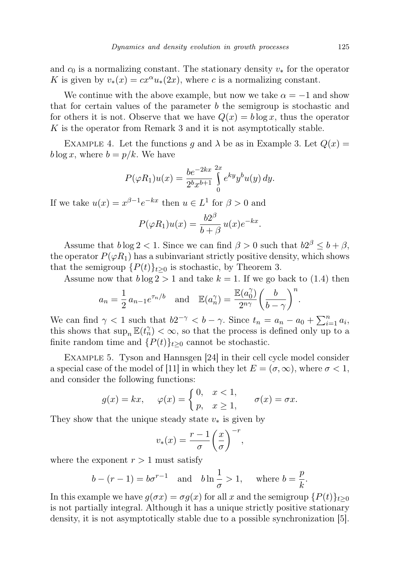and  $c_0$  is a normalizing constant. The stationary density  $v_*$  for the operator K is given by  $v_*(x) = cx^\alpha u_*(2x)$ , where c is a normalizing constant.

We continue with the above example, but now we take  $\alpha = -1$  and show that for certain values of the parameter  $b$  the semigroup is stochastic and for others it is not. Observe that we have  $Q(x) = b \log x$ , thus the operator K is the operator from Remark 3 and it is not asymptotically stable.

EXAMPLE 4. Let the functions g and  $\lambda$  be as in Example 3. Let  $Q(x)$  =  $b \log x$ , where  $b = p/k$ . We have

$$
P(\varphi R_1)u(x) = \frac{be^{-2kx}}{2^b x^{b+1}} \int_{0}^{2x} e^{ky} y^b u(y) dy.
$$

If we take  $u(x) = x^{\beta - 1} e^{-kx}$  then  $u \in L^1$  for  $\beta > 0$  and

$$
P(\varphi R_1)u(x) = \frac{b2^{\beta}}{b+\beta}u(x)e^{-kx}.
$$

Assume that  $b \log 2 < 1$ . Since we can find  $\beta > 0$  such that  $b2^{\beta} \leq b + \beta$ , the operator  $P(\varphi R_1)$  has a subinvariant strictly positive density, which shows that the semigroup  $\{P(t)\}_{t\geq 0}$  is stochastic, by Theorem 3.

Assume now that  $b \log 2 > 1$  and take  $k = 1$ . If we go back to (1.4) then

$$
a_n = \frac{1}{2} a_{n-1} e^{\tau_n/b}
$$
 and  $\mathbb{E}(a_n^{\gamma}) = \frac{\mathbb{E}(a_0^{\gamma})}{2^{n\gamma}} \left(\frac{b}{b-\gamma}\right)^n$ 

We can find  $\gamma < 1$  such that  $b2^{-\gamma} < b - \gamma$ . Since  $t_n = a_n - a_0 + \sum_{i=1}^n a_i$ , this shows that  $\sup_n \mathbb{E}(t_n^{\gamma}) < \infty$ , so that the process is defined only up to a finite random time and  $\{P(t)\}_{t\geq 0}$  cannot be stochastic.

Example 5. Tyson and Hannsgen [24] in their cell cycle model consider a special case of the model of [11] in which they let  $E = (\sigma, \infty)$ , where  $\sigma < 1$ , and consider the following functions:

$$
g(x) = kx, \quad \varphi(x) = \begin{cases} 0, & x < 1, \\ p, & x \ge 1, \end{cases} \quad \sigma(x) = \sigma x.
$$

They show that the unique steady state  $v_*$  is given by

$$
v_*(x) = \frac{r-1}{\sigma} \left(\frac{x}{\sigma}\right)^{-r},
$$

where the exponent  $r > 1$  must satisfy

$$
b - (r - 1) = b\sigma^{r-1}
$$
 and  $b \ln \frac{1}{\sigma} > 1$ , where  $b = \frac{p}{k}$ .

In this example we have  $g(\sigma x) = \sigma g(x)$  for all x and the semigroup  $\{P(t)\}_{t\geq 0}$ is not partially integral. Although it has a unique strictly positive stationary density, it is not asymptotically stable due to a possible synchronization [5].

.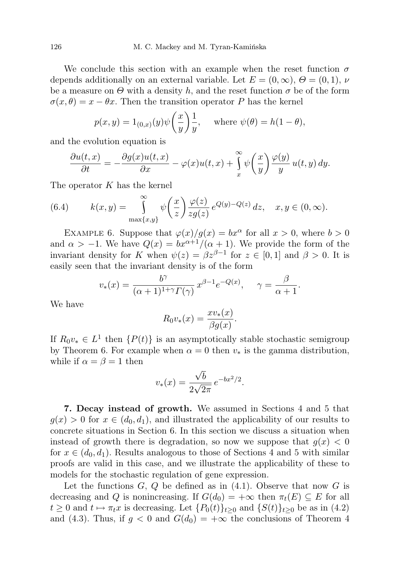We conclude this section with an example when the reset function  $\sigma$ depends additionally on an external variable. Let  $E = (0, \infty)$ ,  $\Theta = (0, 1)$ ,  $\nu$ be a measure on  $\Theta$  with a density h, and the reset function  $\sigma$  be of the form  $\sigma(x,\theta) = x - \theta x$ . Then the transition operator P has the kernel

$$
p(x, y) = 1_{(0,x)}(y)\psi\left(\frac{x}{y}\right)\frac{1}{y}, \quad \text{where } \psi(\theta) = h(1-\theta),
$$

and the evolution equation is

$$
\frac{\partial u(t,x)}{\partial t} = -\frac{\partial g(x)u(t,x)}{\partial x} - \varphi(x)u(t,x) + \int_{x}^{\infty} \psi\left(\frac{x}{y}\right) \frac{\varphi(y)}{y} u(t,y) dy.
$$

The operator  $K$  has the kernel

(6.4) 
$$
k(x,y) = \int_{\max\{x,y\}}^{\infty} \psi\left(\frac{x}{z}\right) \frac{\varphi(z)}{zg(z)} e^{Q(y)-Q(z)} dz, \quad x, y \in (0,\infty).
$$

EXAMPLE 6. Suppose that  $\varphi(x)/g(x) = bx^{\alpha}$  for all  $x > 0$ , where  $b > 0$ and  $\alpha > -1$ . We have  $Q(x) = bx^{\alpha+1}/(\alpha+1)$ . We provide the form of the invariant density for K when  $\psi(z) = \beta z^{\beta - 1}$  for  $z \in [0, 1]$  and  $\beta > 0$ . It is easily seen that the invariant density is of the form

$$
v_*(x) = \frac{b^{\gamma}}{(\alpha+1)^{1+\gamma} \Gamma(\gamma)} x^{\beta-1} e^{-Q(x)}, \quad \gamma = \frac{\beta}{\alpha+1}.
$$

We have

$$
R_0 v_*(x) = \frac{x v_*(x)}{\beta g(x)}.
$$

If  $R_0v_* \in L^1$  then  $\{P(t)\}\$ is an asymptotically stable stochastic semigroup by Theorem 6. For example when  $\alpha = 0$  then  $v_*$  is the gamma distribution, while if  $\alpha = \beta = 1$  then

$$
v_*(x) = \frac{\sqrt{b}}{2\sqrt{2\pi}} e^{-bx^2/2}.
$$

7. Decay instead of growth. We assumed in Sections 4 and 5 that  $g(x) > 0$  for  $x \in (d_0, d_1)$ , and illustrated the applicability of our results to concrete situations in Section 6. In this section we discuss a situation when instead of growth there is degradation, so now we suppose that  $g(x) < 0$ for  $x \in (d_0, d_1)$ . Results analogous to those of Sections 4 and 5 with similar proofs are valid in this case, and we illustrate the applicability of these to models for the stochastic regulation of gene expression.

Let the functions  $G, Q$  be defined as in  $(4.1)$ . Observe that now  $G$  is decreasing and Q is nonincreasing. If  $G(d_0) = +\infty$  then  $\pi_t(E) \subseteq E$  for all  $t \geq 0$  and  $t \mapsto \pi_t x$  is decreasing. Let  $\{P_0(t)\}_{t>0}$  and  $\{S(t)\}_{t>0}$  be as in (4.2) and (4.3). Thus, if  $g < 0$  and  $G(d_0) = +\infty$  the conclusions of Theorem 4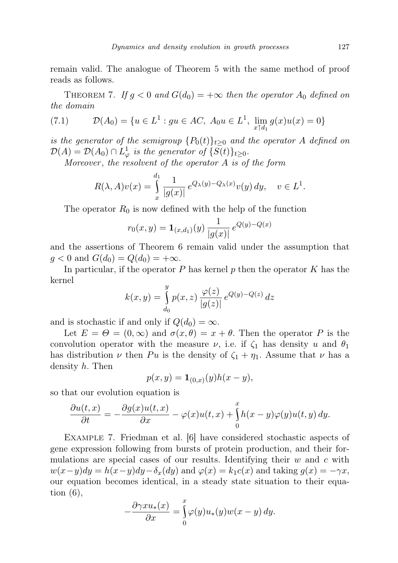remain valid. The analogue of Theorem 5 with the same method of proof reads as follows.

THEOREM 7. If  $g < 0$  and  $G(d_0) = +\infty$  then the operator  $A_0$  defined on the domain

(7.1) 
$$
\mathcal{D}(A_0) = \{ u \in L^1 : gu \in AC, A_0 u \in L^1, \lim_{x \uparrow d_1} g(x)u(x) = 0 \}
$$

is the generator of the semigroup  $\{P_0(t)\}_{t\geq 0}$  and the operator A defined on  $\mathcal{D}(A) = \mathcal{D}(A_0) \cap L^1_{\varphi}$  is the generator of  $\{S(t)\}_{t \geq 0}$ .

Moreover, the resolvent of the operator  $A$  is of the form

$$
R(\lambda, A)v(x) = \int_{x}^{d_1} \frac{1}{|g(x)|} e^{Q_\lambda(y) - Q_\lambda(x)} v(y) dy, \quad v \in L^1.
$$

The operator  $R_0$  is now defined with the help of the function

$$
r_0(x,y) = \mathbf{1}_{(x,d_1)}(y) \frac{1}{|g(x)|} e^{Q(y) - Q(x)}
$$

and the assertions of Theorem 6 remain valid under the assumption that  $g < 0$  and  $G(d_0) = Q(d_0) = +\infty$ .

In particular, if the operator  $P$  has kernel  $p$  then the operator  $K$  has the kernel  $\overline{u}$ 

$$
k(x,y) = \int_{d_0}^{g} p(x,z) \frac{\varphi(z)}{|g(z)|} e^{Q(y)-Q(z)} dz
$$

and is stochastic if and only if  $Q(d_0) = \infty$ .

Let  $E = \Theta = (0, \infty)$  and  $\sigma(x, \theta) = x + \theta$ . Then the operator P is the convolution operator with the measure  $\nu$ , i.e. if  $\zeta_1$  has density u and  $\theta_1$ has distribution  $\nu$  then Pu is the density of  $\zeta_1 + \eta_1$ . Assume that  $\nu$  has a density h. Then

$$
p(x, y) = \mathbf{1}_{(0,x)}(y)h(x - y),
$$

so that our evolution equation is

$$
\frac{\partial u(t,x)}{\partial t} = -\frac{\partial g(x)u(t,x)}{\partial x} - \varphi(x)u(t,x) + \int_{0}^{x} h(x-y)\varphi(y)u(t,y) dy.
$$

Example 7. Friedman et al. [6] have considered stochastic aspects of gene expression following from bursts of protein production, and their formulations are special cases of our results. Identifying their  $w$  and  $c$  with  $w(x-y)dy = h(x-y)dy - \delta_x(dy)$  and  $\varphi(x) = k_1c(x)$  and taking  $g(x) = -\gamma x$ , our equation becomes identical, in a steady state situation to their equation  $(6)$ ,

$$
-\frac{\partial \gamma x u_*(x)}{\partial x} = \int_{0}^{x} \varphi(y) u_*(y) w(x - y) dy.
$$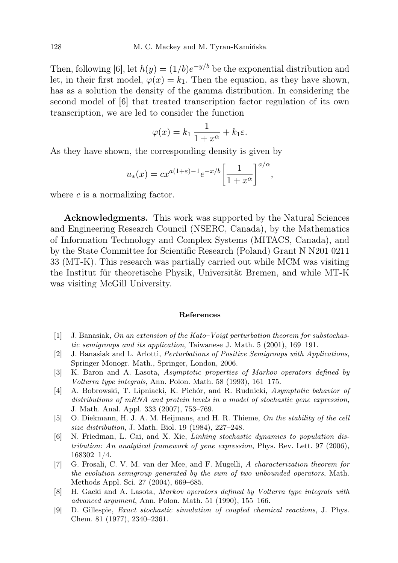Then, following [6], let  $h(y) = (1/b)e^{-y/b}$  be the exponential distribution and let, in their first model,  $\varphi(x) = k_1$ . Then the equation, as they have shown, has as a solution the density of the gamma distribution. In considering the second model of [6] that treated transcription factor regulation of its own transcription, we are led to consider the function

$$
\varphi(x) = k_1 \, \frac{1}{1+x^{\alpha}} + k_1 \varepsilon.
$$

As they have shown, the corresponding density is given by

$$
u_*(x) = cx^{a(1+\varepsilon)-1}e^{-x/b} \left[\frac{1}{1+x^{\alpha}}\right]^{a/\alpha},
$$

where  $c$  is a normalizing factor.

Acknowledgments. This work was supported by the Natural Sciences and Engineering Research Council (NSERC, Canada), by the Mathematics of Information Technology and Complex Systems (MITACS, Canada), and by the State Committee for Scientific Research (Poland) Grant N N201 0211 33 (MT-K). This research was partially carried out while MCM was visiting the Institut für theoretische Physik, Universität Bremen, and while MT-K was visiting McGill University.

## References

- [1] J. Banasiak, On an extension of the Kato–Voigt perturbation theorem for substochastic semigroups and its application, Taiwanese J. Math. 5 (2001), 169–191.
- [2] J. Banasiak and L. Arlotti, Perturbations of Positive Semigroups with Applications, Springer Monogr. Math., Springer, London, 2006.
- [3] K. Baron and A. Lasota, Asymptotic properties of Markov operators defined by Volterra type integrals, Ann. Polon. Math. 58 (1993), 161–175.
- [4] A. Bobrowski, T. Lipniacki, K. Pichór, and R. Rudnicki, Asymptotic behavior of distributions of mRNA and protein levels in a model of stochastic gene expression, J. Math. Anal. Appl. 333 (2007), 753–769.
- [5] O. Diekmann, H. J. A. M. Heijmans, and H. R. Thieme, On the stability of the cell size distribution, J. Math. Biol. 19 (1984), 227–248.
- [6] N. Friedman, L. Cai, and X. Xie, Linking stochastic dynamics to population distribution: An analytical framework of gene expression, Phys. Rev. Lett. 97 (2006), 168302–1/4.
- [7] G. Frosali, C. V. M. van der Mee, and F. Mugelli, A characterization theorem for the evolution semigroup generated by the sum of two unbounded operators, Math. Methods Appl. Sci. 27 (2004), 669–685.
- [8] H. Gacki and A. Lasota, Markov operators defined by Volterra type integrals with advanced argument, Ann. Polon. Math. 51 (1990), 155–166.
- [9] D. Gillespie, Exact stochastic simulation of coupled chemical reactions, J. Phys. Chem. 81 (1977), 2340–2361.